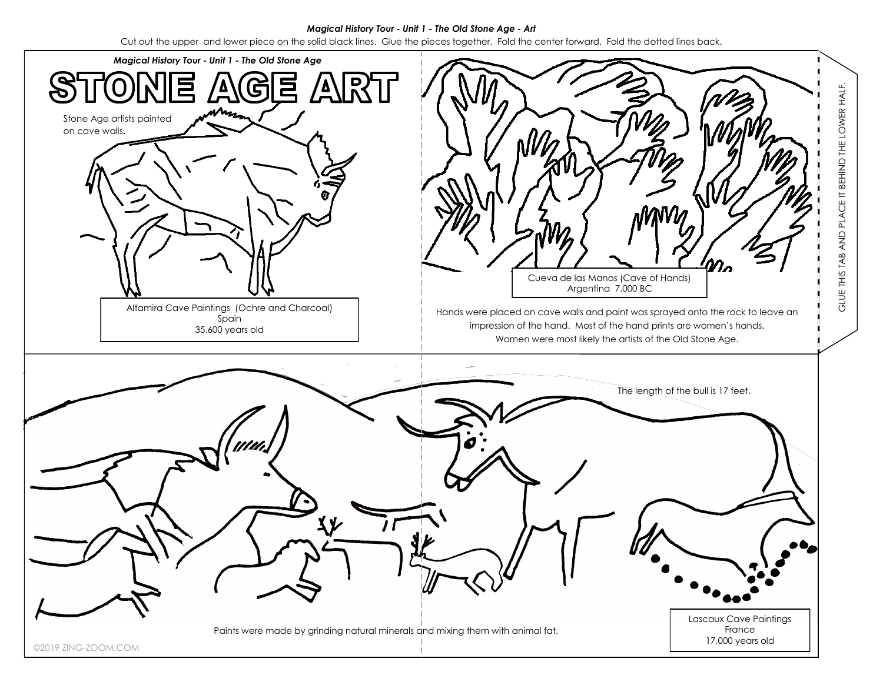## *Magical History Tour - Unit 1 - The Old Stone Age - Art*

Cut out the upper and lower piece on the solid black lines. Glue the pieces together. Fold the center forward. Fold the dotted lines back.

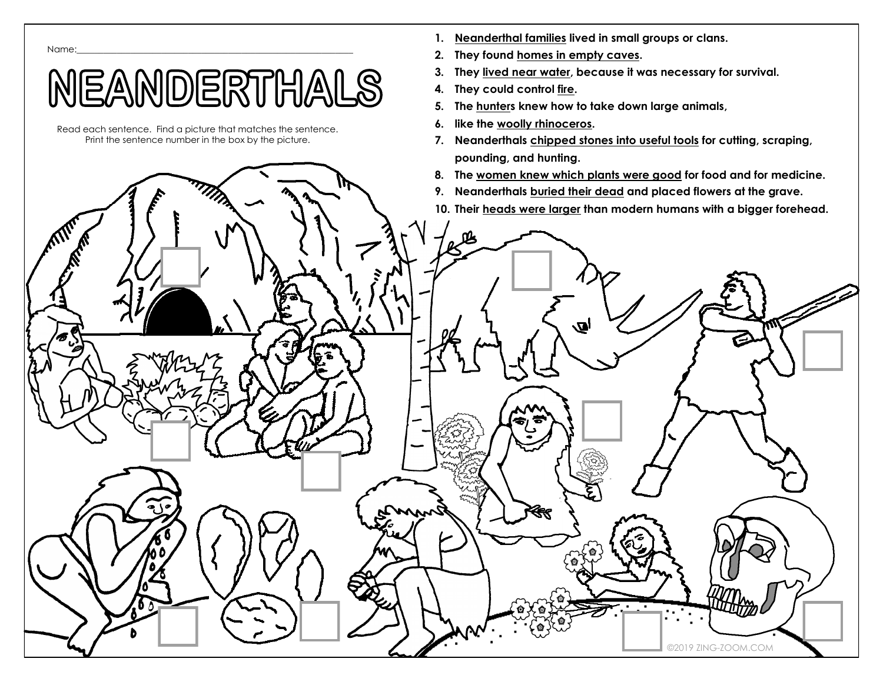